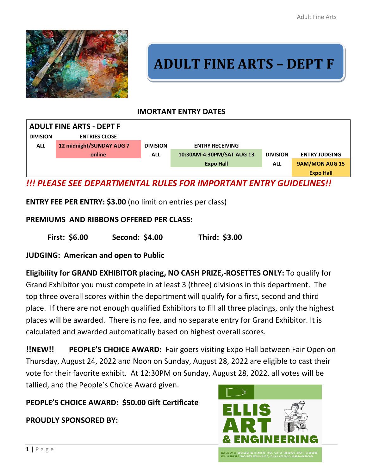

# **ADULT FINE ARTS – DEPT F**

## **IMORTANT ENTRY DATES**



*!!! PLEASE SEE DEPARTMENTAL RULES FOR IMPORTANT ENTRY GUIDELINES!!*

**ENTRY FEE PER ENTRY: \$3.00** (no limit on entries per class)

## **PREMIUMS AND RIBBONS OFFERED PER CLASS:**

**First: \$6.00 Second: \$4.00 Third: \$3.00**

**JUDGING: American and open to Public**

**Eligibility for GRAND EXHIBITOR placing, NO CASH PRIZE,-ROSETTES ONLY:** To qualify for Grand Exhibitor you must compete in at least 3 (three) divisions in this department. The top three overall scores within the department will qualify for a first, second and third place. If there are not enough qualified Exhibitors to fill all three placings, only the highest places will be awarded. There is no fee, and no separate entry for Grand Exhibitor. It is calculated and awarded automatically based on highest overall scores.

**!!NEW!! PEOPLE'S CHOICE AWARD:** Fair goers visiting Expo Hall between Fair Open on Thursday, August 24, 2022 and Noon on Sunday, August 28, 2022 are eligible to cast their vote for their favorite exhibit. At 12:30PM on Sunday, August 28, 2022, all votes will be tallied, and the People's Choice Award given.

**PEOPLE'S CHOICE AWARD: \$50.00 Gift Certificate**

## **PROUDLY SPONSORED BY:**

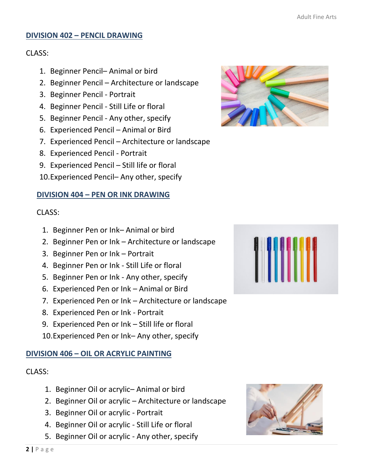#### **DIVISION 402 – PENCIL DRAWING**

#### CLASS:

- 1. Beginner Pencil– Animal or bird
- 2. Beginner Pencil Architecture or landscape
- 3. Beginner Pencil Portrait
- 4. Beginner Pencil Still Life or floral
- 5. Beginner Pencil Any other, specify
- 6. Experienced Pencil Animal or Bird
- 7. Experienced Pencil Architecture or landscape
- 8. Experienced Pencil Portrait
- 9. Experienced Pencil Still life or floral
- 10.Experienced Pencil– Any other, specify

## **DIVISION 404 – PEN OR INK DRAWING**

## CLASS:

- 1. Beginner Pen or Ink– Animal or bird
- 2. Beginner Pen or Ink Architecture or landscape
- 3. Beginner Pen or Ink Portrait
- 4. Beginner Pen or Ink Still Life or floral
- 5. Beginner Pen or Ink Any other, specify
- 6. Experienced Pen or Ink Animal or Bird
- 7. Experienced Pen or Ink Architecture or landscape
- 8. Experienced Pen or Ink Portrait
- 9. Experienced Pen or Ink Still life or floral
- 10.Experienced Pen or Ink– Any other, specify

## **DIVISION 406 – OIL OR ACRYLIC PAINTING**

## CLASS:

- 1. Beginner Oil or acrylic– Animal or bird
- 2. Beginner Oil or acrylic Architecture or landscape
- 3. Beginner Oil or acrylic Portrait
- 4. Beginner Oil or acrylic Still Life or floral
- 5. Beginner Oil or acrylic Any other, specify





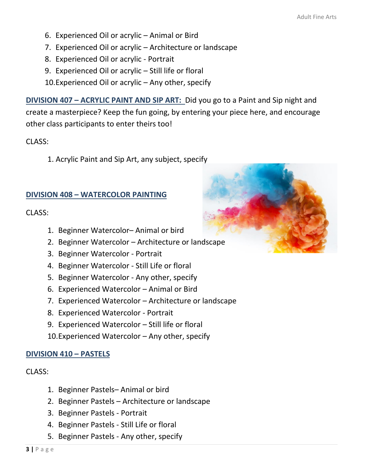- 6. Experienced Oil or acrylic Animal or Bird
- 7. Experienced Oil or acrylic Architecture or landscape
- 8. Experienced Oil or acrylic Portrait
- 9. Experienced Oil or acrylic Still life or floral
- 10.Experienced Oil or acrylic Any other, specify

**DIVISION 407 – ACRYLIC PAINT AND SIP ART:** Did you go to a Paint and Sip night and create a masterpiece? Keep the fun going, by entering your piece here, and encourage other class participants to enter theirs too!

CLASS:

1. Acrylic Paint and Sip Art, any subject, specify

# **DIVISION 408 – WATERCOLOR PAINTING**

CLASS:

- 1. Beginner Watercolor– Animal or bird
- 2. Beginner Watercolor Architecture or landscape
- 3. Beginner Watercolor Portrait
- 4. Beginner Watercolor Still Life or floral
- 5. Beginner Watercolor Any other, specify
- 6. Experienced Watercolor Animal or Bird
- 7. Experienced Watercolor Architecture or landscape
- 8. Experienced Watercolor Portrait
- 9. Experienced Watercolor Still life or floral
- 10.Experienced Watercolor Any other, specify

# **DIVISION 410 – PASTELS**

CLASS:

- 1. Beginner Pastels– Animal or bird
- 2. Beginner Pastels Architecture or landscape
- 3. Beginner Pastels Portrait
- 4. Beginner Pastels Still Life or floral
- 5. Beginner Pastels Any other, specify